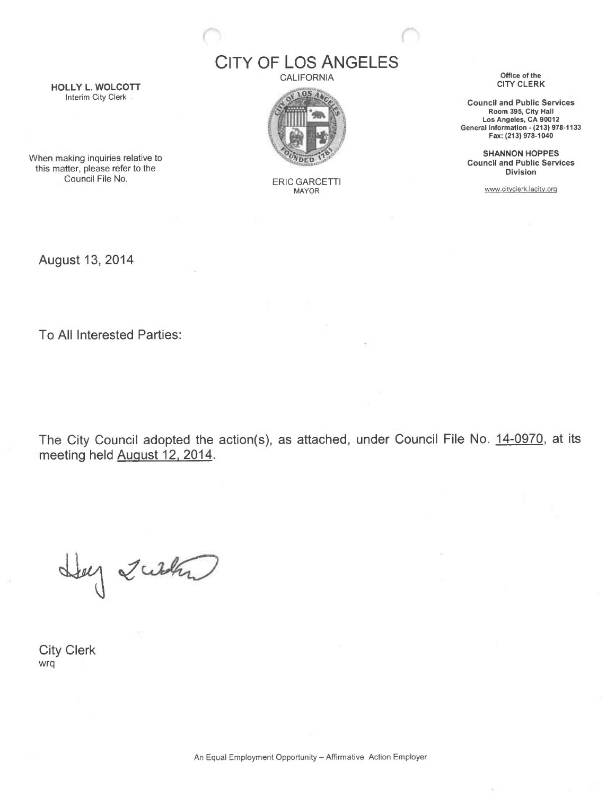CITY OF LOS ANGELES

CALIFORNIA



ERIC GARCETTI MAYOR

Office of the CITY CLERK

Council and Public Services Room 395, City Hall Los Angeles, CA 90012 General Information - (213) 978-1133 Fax: (213) 978-1040

SHANNON HOPPES Council and Public Services Division

www.cityclerk.lacity.orq

HOLLY L. WOLCOTT Interim City Clerk.

When making inquiries relative to this matter, please refer to the Council File No.

August 13, 2014

To All Interested Parties:

The City Council adopted the action(s), as attached, under Council File No. 14-0970, at its meeting held August 12, 2014.

Hey Zublan

City Clerk wrq